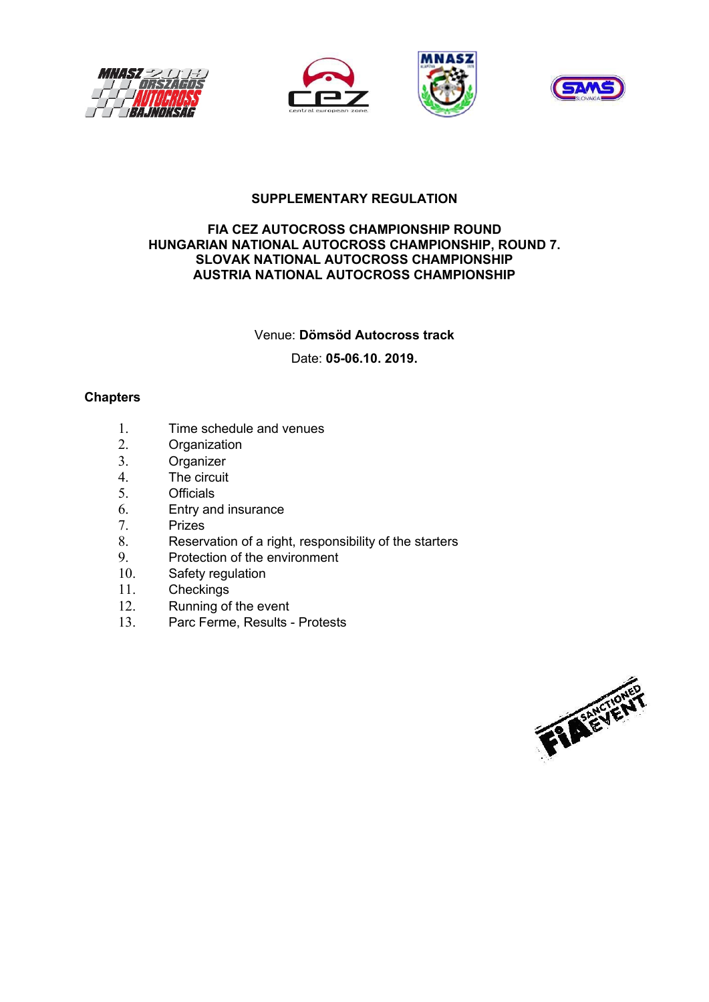





# **SUPPLEMENTARY REGULATION**

#### **FIA CEZ AUTOCROSS CHAMPIONSHIP ROUND HUNGARIAN NATIONAL AUTOCROSS CHAMPIONSHIP, ROUND 7. SLOVAK NATIONAL AUTOCROSS CHAMPIONSHIP AUSTRIA NATIONAL AUTOCROSS CHAMPIONSHIP**

Venue: **Dömsöd Autocross track** 

Date: **05-06.10. 2019.** 

# **Chapters**

- 1. Time schedule and venues
- 2. Organization
- 3. Organizer
- 4. The circuit
- 5. Officials
- 6. Entry and insurance
- 7. Prizes
- 8. Reservation of a right, responsibility of the starters<br>9. Protection of the environment
- Protection of the environment
- 10. Safety regulation
- 11. Checkings
- 12. Running of the event
- 13. Parc Ferme, Results Protests

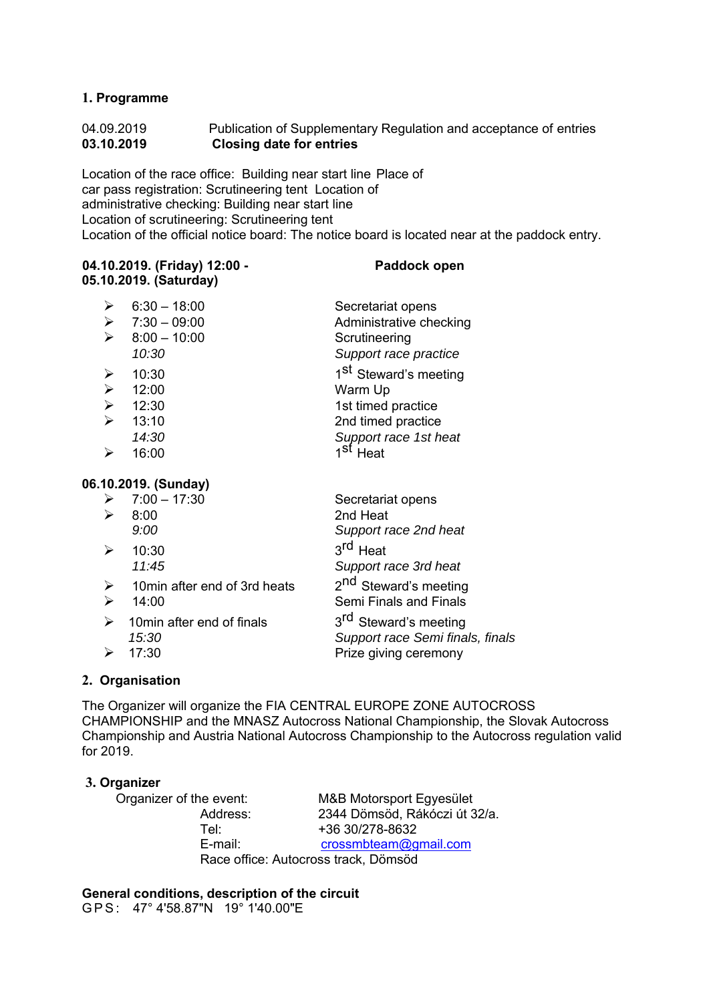# **1. Programme**

# 04.09.2019 Publication of Supplementary Regulation and acceptance of entries **03.10.2019 Closing date for entries**

Location of the race office: Building near start line Place of car pass registration: Scrutineering tent Location of administrative checking: Building near start line Location of scrutineering: Scrutineering tent Location of the official notice board: The notice board is located near at the paddock entry.

## **04.10.2019. (Friday) 12:00 - Paddock open 05.10.2019. (Saturday)**

| ➤                     | $6:30 - 18:00$ | Secretariat opens                 |
|-----------------------|----------------|-----------------------------------|
| ≻                     | $7:30 - 09:00$ | Administrative checking           |
| $\blacktriangleright$ | $8:00 - 10:00$ | Scrutineering                     |
|                       | 10:30          | Support race practice             |
| ➤                     | 10:30          | 1 <sup>st</sup> Steward's meeting |
| $\blacktriangleright$ | 12:00          | Warm Up                           |
| ≻                     | 12:30          | 1st timed practice                |
|                       | 13:10          | 2nd timed practice                |
|                       | 14:30          | Support race 1st heat             |
|                       | 16:00          | 4 St<br>Heat                      |

# **06.10.2019. (Sunday)**

|                  | $\triangleright$ 7:00 - 17:30 | Secretariat opens                 |
|------------------|-------------------------------|-----------------------------------|
| ⋗                | 8:00                          | 2nd Heat                          |
|                  | 9:00                          | Support race 2nd heat             |
| ↘                | 10:30                         | 3 <sup>rd</sup> Heat              |
|                  | 11:45                         | Support race 3rd heat             |
| $\triangleright$ | 10min after end of 3rd heats  | 2 <sup>nd</sup> Steward's meeting |
| ↘                | 14:00                         | Semi Finals and Finals<br>ᆈ       |

| $\triangleright$ 10 min after end of finals | 3 <sup>rd</sup> Steward's meeting |
|---------------------------------------------|-----------------------------------|
| 15:30                                       | Support race Semi finals, finals  |
| $\triangleright$ 17:30                      | Prize giving ceremony             |

# **2. Organisation**

The Organizer will organize the FIA CENTRAL EUROPE ZONE AUTOCROSS CHAMPIONSHIP and the MNASZ Autocross National Championship, the Slovak Autocross Championship and Austria National Autocross Championship to the Autocross regulation valid for 2019.

## **3. Organizer**

Organizer of the event: M&B Motorsport Egyesület Address: 2344 Dömsöd, Rákóczi út 32/a. Tel: +36 30/278-8632<br>
E-mail: crossmbteam@g crossmbteam@gmail.com Race office: Autocross track, Dömsöd

**General conditions, description of the circuit** 

G P S : 47° 4'58.87"N 19° 1'40.00"E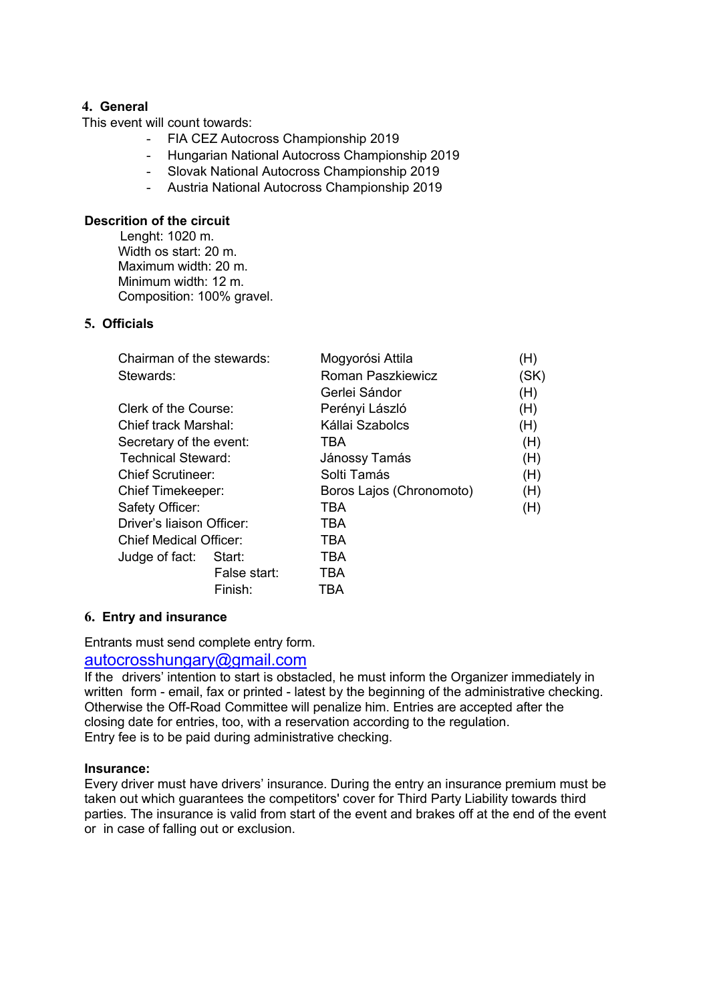# **4. General**

This event will count towards:

- FIA CEZ Autocross Championship 2019
- Hungarian National Autocross Championship 2019
- Slovak National Autocross Championship 2019
- Austria National Autocross Championship 2019

#### **Descrition of the circuit**

Lenght: 1020 m. Width os start: 20 m. Maximum width: 20 m. Minimum width: 12 m. Composition: 100% gravel.

# **5. Officials**

| Mogyorósi Attila<br>(H)         |
|---------------------------------|
| Roman Paszkiewicz<br>(SK)       |
| (H)<br>Gerlei Sándor            |
| (H)<br>Perényi László           |
| Kállai Szabolcs<br>(H)          |
| (H)                             |
| (H)<br>Jánossy Tamás            |
| Solti Tamás<br>(H)              |
| Boros Lajos (Chronomoto)<br>(H) |
| (H)                             |
|                                 |
|                                 |
|                                 |
|                                 |
|                                 |
|                                 |

## **6. Entry and insurance**

Entrants must send complete entry form.

# autocrosshungary@gmail.com

If the drivers' intention to start is obstacled, he must inform the Organizer immediately in written form - email, fax or printed - latest by the beginning of the administrative checking. Otherwise the Off-Road Committee will penalize him. Entries are accepted after the closing date for entries, too, with a reservation according to the regulation. Entry fee is to be paid during administrative checking.

#### **Insurance:**

Every driver must have drivers' insurance. During the entry an insurance premium must be taken out which guarantees the competitors' cover for Third Party Liability towards third parties. The insurance is valid from start of the event and brakes off at the end of the event or in case of falling out or exclusion.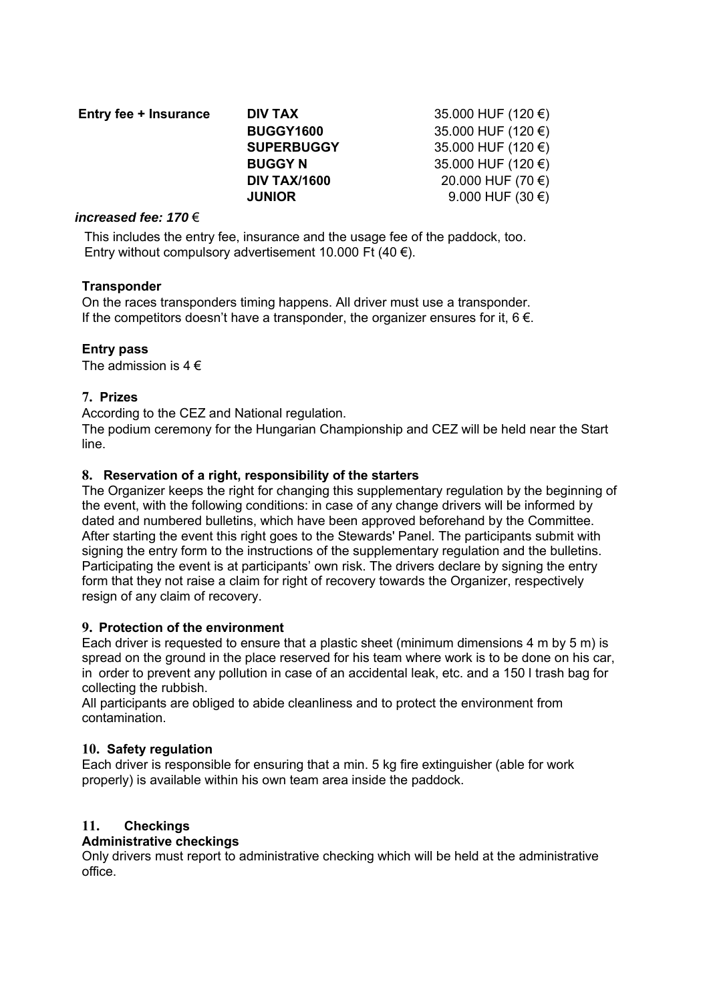| Entry fee + Insurance | DIV TAX             | 35.000 HUF (120 $\epsilon$ ) |
|-----------------------|---------------------|------------------------------|
|                       | <b>BUGGY1600</b>    | 35.000 HUF (120 $\epsilon$ ) |
|                       | <b>SUPERBUGGY</b>   | 35.000 HUF (120 $\epsilon$ ) |
|                       | <b>BUGGY N</b>      | 35.000 HUF (120 $\epsilon$ ) |
|                       | <b>DIV TAX/1600</b> | 20.000 HUF (70 €)            |
|                       | <b>JUNIOR</b>       | 9.000 HUF $(30 \in)$         |

#### *increased fee: 170* €

This includes the entry fee, insurance and the usage fee of the paddock, too. Entry without compulsory advertisement 10.000 Ft (40  $\epsilon$ ).

# **Transponder**

On the races transponders timing happens. All driver must use a transponder. If the competitors doesn't have a transponder, the organizer ensures for it,  $6 \in$ .

# **Entry pass**

The admission is  $4 \in$ 

# **7. Prizes**

According to the CEZ and National regulation.

The podium ceremony for the Hungarian Championship and CEZ will be held near the Start line.

# **8. Reservation of a right, responsibility of the starters**

The Organizer keeps the right for changing this supplementary regulation by the beginning of the event, with the following conditions: in case of any change drivers will be informed by dated and numbered bulletins, which have been approved beforehand by the Committee. After starting the event this right goes to the Stewards' Panel. The participants submit with signing the entry form to the instructions of the supplementary regulation and the bulletins. Participating the event is at participants' own risk. The drivers declare by signing the entry form that they not raise a claim for right of recovery towards the Organizer, respectively resign of any claim of recovery.

## **9. Protection of the environment**

Each driver is requested to ensure that a plastic sheet (minimum dimensions 4 m by 5 m) is spread on the ground in the place reserved for his team where work is to be done on his car. in order to prevent any pollution in case of an accidental leak, etc. and a 150 l trash bag for collecting the rubbish.

All participants are obliged to abide cleanliness and to protect the environment from contamination.

# **10. Safety regulation**

Each driver is responsible for ensuring that a min. 5 kg fire extinguisher (able for work properly) is available within his own team area inside the paddock.

## **11. Checkings**

## **Administrative checkings**

Only drivers must report to administrative checking which will be held at the administrative office.